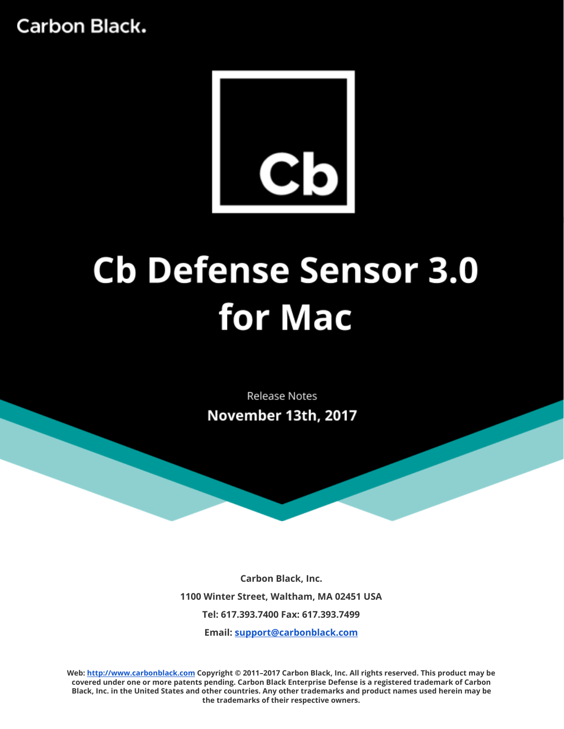

# **Cb Defense Sensor 3.0** for Mac

**Release Notes** November 13th, 2017

**Carbon Black, Inc. 1100 Winter Street, Waltham, MA 02451 USA Tel: 617.393.7400 Fax: 617.393.7499 Email: [support@carbonblack.com](mailto:support@carbonblack.com)**

**Web: [http://www.carbonblack.com](http://www.carbonblack.com/) Copyright © 2011–2017 Carbon Black, Inc. All rights reserved. This product may be** covered under one or more patents pending. Carbon Black Enterprise Defense is a registered trademark of Carbon Black, Inc. in the United States and other countries. Any other trademarks and product names used herein may be **the trademarks of their respective owners.**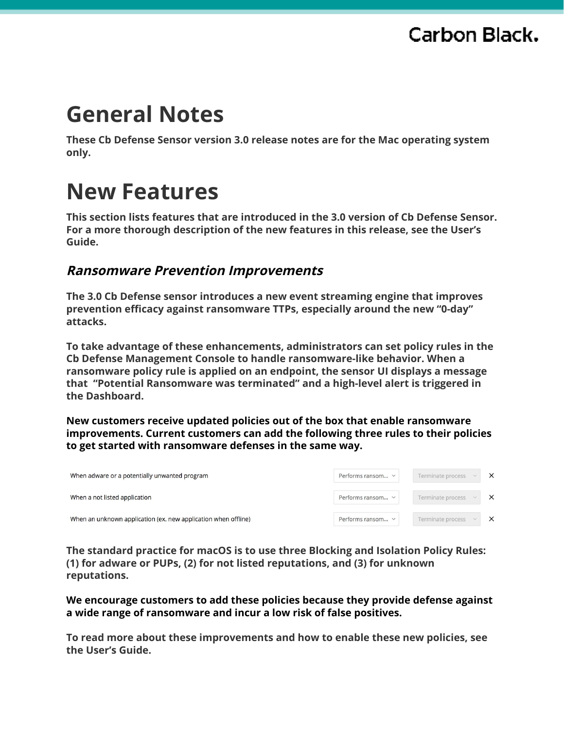# **General Notes**

**These Cb Defense Sensor version 3.0 release notes are for the Mac operating system only.**

# **New Features**

**This section lists features that are introduced in the 3.0 version of Cb Defense Sensor. For a more thorough description of the new features in this release, see the User's Guide.**

#### **Ransomware Prevention Improvements**

**The 3.0 Cb Defense sensor introduces a new event streaming engine that improves prevention efficacy against ransomware TTPs, especially around the new "0-day" attacks.**

**To take advantage of these enhancements, administrators can set policy rules in the Cb Defense Management Console to handle ransomware-like behavior. When a ransomware policy rule is applied on an endpoint, the sensor UI displays a message that "Potential Ransomware was terminated" and a high-level alert is triggered in the Dashboard.**

**New customers receive updated policies out of the box that enable ransomware improvements. Current customers can add the following three rules to their policies to get started with ransomware defenses in the same way.**

| When adware or a potentially unwanted program                  | Performs ransom $\vee$ | Terminate process | $\times$ |
|----------------------------------------------------------------|------------------------|-------------------|----------|
| When a not listed application                                  | Performs ransom $\vee$ | Terminate process | $\times$ |
| When an unknown application (ex. new application when offline) | Performs ransom $\vee$ | Terminate process | $\times$ |

**The standard practice for macOS is to use three Blocking and Isolation Policy Rules: (1) for adware or PUPs, (2) for not listed reputations, and (3) for unknown reputations.**

**We encourage customers to add these policies because they provide defense against a wide range of ransomware and incur a low risk of false positives.**

**To read more about these improvements and how to enable these new policies, see the User's Guide.**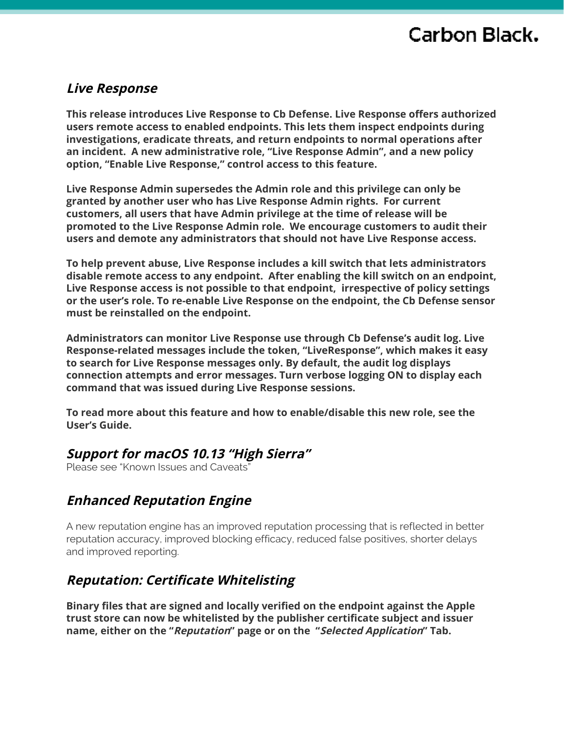#### **Live Response**

**This release introduces Live Response to Cb Defense. Live Response offers authorized users remote access to enabled endpoints. This lets them inspect endpoints during investigations, eradicate threats, and return endpoints to normal operations after an incident. A new administrative role, "Live Response Admin", and a new policy option, "Enable Live Response," control access to this feature.**

**Live Response Admin supersedes the Admin role and this privilege can only be granted by another user who has Live Response Admin rights. For current customers, all users that have Admin privilege at the time of release will be promoted to the Live Response Admin role. We encourage customers to audit their users and demote any administrators that should not have Live Response access.**

**To help prevent abuse, Live Response includes a kill switch that lets administrators disable remote access to any endpoint. After enabling the kill switch on an endpoint, Live Response access is not possible to that endpoint, irrespective of policy settings or the user's role. To re-enable Live Response on the endpoint, the Cb Defense sensor must be reinstalled on the endpoint.**

**Administrators can monitor Live Response use through Cb Defense's audit log. Live Response-related messages include the token, "LiveResponse", which makes it easy to search for Live Response messages only. By default, the audit log displays connection attempts and error messages. Turn verbose logging ON to display each command that was issued during Live Response sessions.**

**To read more about this feature and how to enable/disable this new role, see the User's Guide.**

#### **Support for macOS 10.13 "High Sierra"**

Please see "Known Issues and Caveats"

#### **Enhanced Reputation Engine**

A new reputation engine has an improved reputation processing that is reflected in better reputation accuracy, improved blocking efficacy, reduced false positives, shorter delays and improved reporting.

#### **Reputation: Certificate Whitelisting**

**Binary files that are signed and locally verified on the endpoint against the Apple trust store can now be whitelisted by the publisher certificate subject and issuer name, either on the "Reputation" page or on the "Selected Application" Tab.**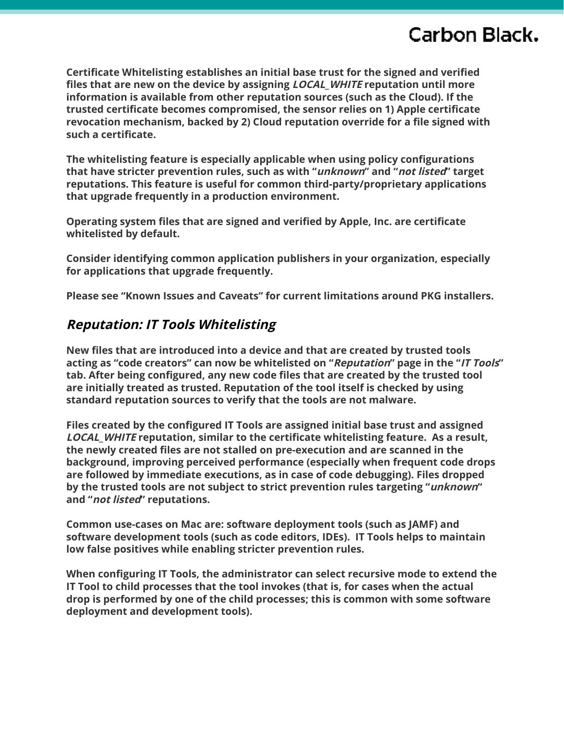**Certificate Whitelisting establishes an initial base trust for the signed and verified files that are new on the device by assigning LOCAL\_WHITE reputation until more information is available from other reputation sources (such as the Cloud). If the trusted certificate becomes compromised, the sensor relies on 1) Apple certificate revocation mechanism, backed by 2) Cloud reputation override for a file signed with such a certificate.**

**The whitelisting feature is especially applicable when using policy configurations that have stricter prevention rules, such as with "unknown" and "not listed" target reputations. This feature is useful for common third-party/proprietary applications that upgrade frequently in a production environment.**

**Operating system files that are signed and verified by Apple, Inc. are certificate whitelisted by default.**

**Consider identifying common application publishers in your organization, especially for applications that upgrade frequently.**

**Please see "Known Issues and Caveats" for current limitations around PKG installers.**

#### **Reputation: IT Tools Whitelisting**

**New files that are introduced into a device and that are created by trusted tools acting as "code creators" can now be whitelisted on "Reputation" page in the "IT Tools" tab. After being configured, any new code files that are created by the trusted tool are initially treated as trusted. Reputation of the tool itself is checked by using standard reputation sources to verify that the tools are not malware.**

**Files created by the configured IT Tools are assigned initial base trust and assigned LOCAL\_WHITE reputation, similar to the certificate whitelisting feature. As a result, the newly created files are not stalled on pre-execution and are scanned in the background, improving perceived performance (especially when frequent code drops are followed by immediate executions, as in case of code debugging). Files dropped by the trusted tools are not subject to strict prevention rules targeting "unknown" and "not listed" reputations.**

**Common use-cases on Mac are: software deployment tools (such as JAMF) and software development tools (such as code editors, IDEs). IT Tools helps to maintain low false positives while enabling stricter prevention rules.**

**When configuring IT Tools, the administrator can select recursive mode to extend the IT Tool to child processes that the tool invokes (that is, for cases when the actual drop is performed by one of the child processes; this is common with some software deployment and development tools).**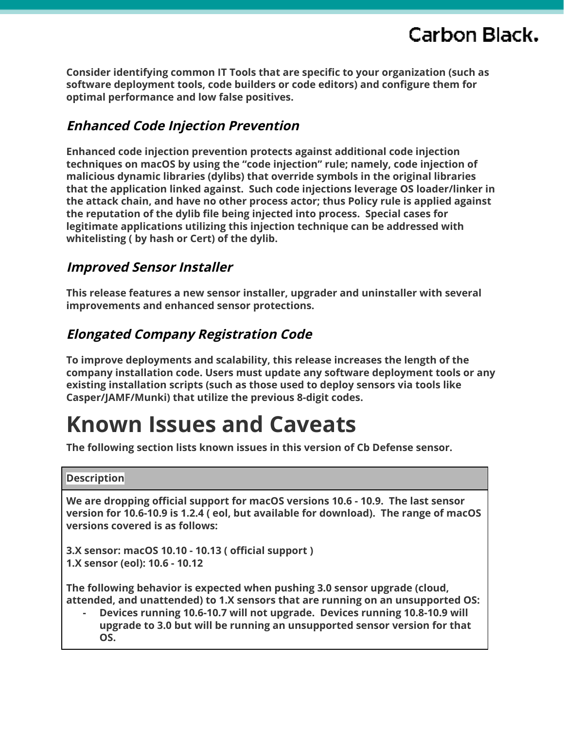**Consider identifying common IT Tools that are specific to your organization (such as software deployment tools, code builders or code editors) and configure them for optimal performance and low false positives.**

#### **Enhanced Code Injection Prevention**

**Enhanced code injection prevention protects against additional code injection techniques on macOS by using the "code injection" rule; namely, code injection of malicious dynamic libraries (dylibs) that override symbols in the original libraries that the application linked against. Such code injections leverage OS loader/linker in the attack chain, and have no other process actor; thus Policy rule is applied against the reputation of the dylib file being injected into process. Special cases for legitimate applications utilizing this injection technique can be addressed with whitelisting ( by hash or Cert) of the dylib.**

#### **Improved Sensor Installer**

**This release features a new sensor installer, upgrader and uninstaller with several improvements and enhanced sensor protections.**

#### **Elongated Company Registration Code**

**To improve deployments and scalability, this release increases the length of the company installation code. Users must update any software deployment tools or any existing installation scripts (such as those used to deploy sensors via tools like Casper/JAMF/Munki) that utilize the previous 8-digit codes.**

# **Known Issues and Caveats**

**The following section lists known issues in this version of Cb Defense sensor.**

#### **Description**

**We are dropping official support for macOS versions 10.6 - 10.9. The last sensor version for 10.6-10.9 is 1.2.4 ( eol, but available for download). The range of macOS versions covered is as follows:**

**3.X sensor: macOS 10.10 - 10.13 ( official support ) 1.X sensor (eol): 10.6 - 10.12**

**The following behavior is expected when pushing 3.0 sensor upgrade (cloud, attended, and unattended) to 1.X sensors that are running on an unsupported OS:**

**- Devices running 10.6-10.7 will not upgrade. Devices running 10.8-10.9 will upgrade to 3.0 but will be running an unsupported sensor version for that OS.**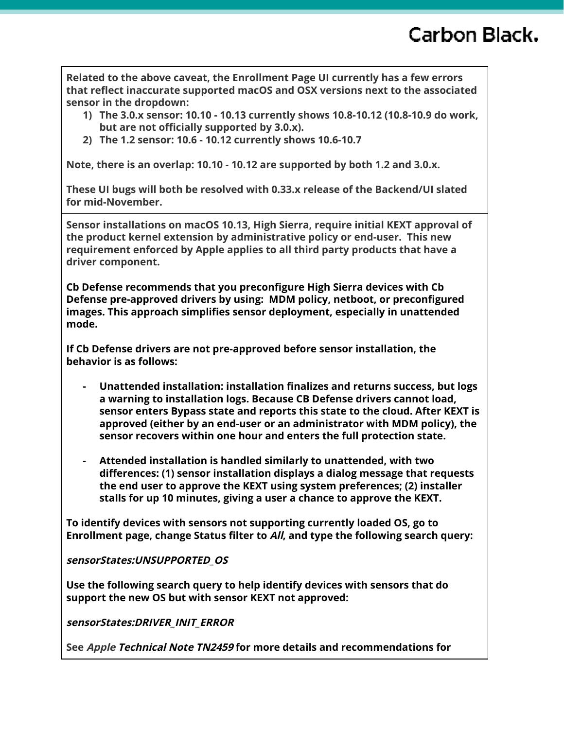**Related to the above caveat, the Enrollment Page UI currently has a few errors that reflect inaccurate supported macOS and OSX versions next to the associated sensor in the dropdown:**

- **1) The 3.0.x sensor: 10.10 - 10.13 currently shows 10.8-10.12 (10.8-10.9 do work, but are not officially supported by 3.0.x).**
- **2) The 1.2 sensor: 10.6 - 10.12 currently shows 10.6-10.7**

**Note, there is an overlap: 10.10 - 10.12 are supported by both 1.2 and 3.0.x.**

**These UI bugs will both be resolved with 0.33.x release of the Backend/UI slated for mid-November.**

**Sensor installations on macOS 10.13, High Sierra, require initial KEXT approval of the product kernel extension by administrative policy or end-user. This new requirement enforced by Apple applies to all third party products that have a driver component.**

**Cb Defense recommends that you preconfigure High Sierra devices with Cb Defense pre-approved drivers by using: MDM policy, netboot, or preconfigured images. This approach simplifies sensor deployment, especially in unattended mode.**

**If Cb Defense drivers are not pre-approved before sensor installation, the behavior is as follows:**

- **- Unattended installation: installation finalizes and returns success, but logs a warning to installation logs. Because CB Defense drivers cannot load, sensor enters Bypass state and reports this state to the cloud. After KEXT is approved (either by an end-user or an administrator with MDM policy), the sensor recovers within one hour and enters the full protection state.**
- **- Attended installation is handled similarly to unattended, with two differences: (1) sensor installation displays a dialog message that requests the end user to approve the KEXT using system preferences; (2) installer stalls for up 10 minutes, giving a user a chance to approve the KEXT.**

**To identify devices with sensors not supporting currently loaded OS, go to Enrollment page, change Status filter to All, and type the following search query:**

**sensorStates:UNSUPPORTED\_OS**

**Use the following search query to help identify devices with sensors that do support the new OS but with sensor KEXT not approved:**

**sensorStates:DRIVER\_INIT\_ERROR**

**See Apple Technical Note TN2459 for more details and recommendations for**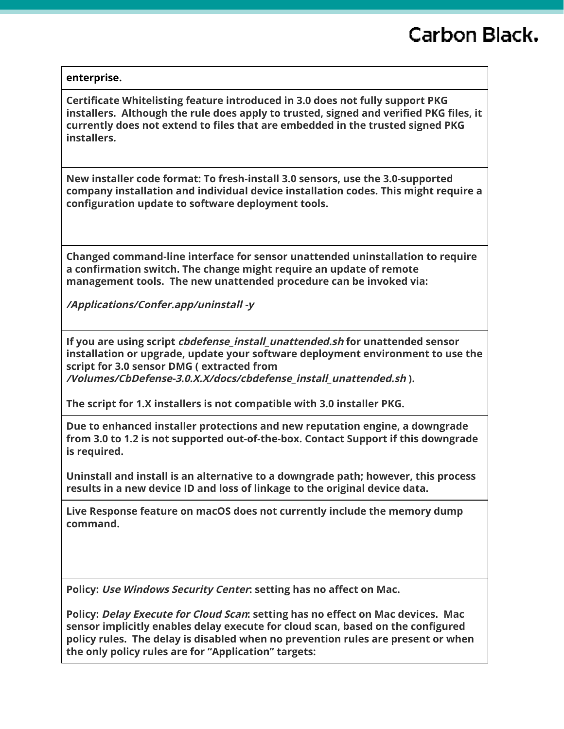#### **enterprise.**

**Certificate Whitelisting feature introduced in 3.0 does not fully support PKG installers. Although the rule does apply to trusted, signed and verified PKG files, it currently does not extend to files that are embedded in the trusted signed PKG installers.**

**New installer code format: To fresh-install 3.0 sensors, use the 3.0-supported company installation and individual device installation codes. This might require a configuration update to software deployment tools.**

**Changed command-line interface for sensor unattended uninstallation to require a confirmation switch. The change might require an update of remote management tools. The new unattended procedure can be invoked via:**

**/Applications/Confer.app/uninstall -y**

**If you are using script cbdefense\_install\_unattended.sh for unattended sensor installation or upgrade, update your software deployment environment to use the script for 3.0 sensor DMG ( extracted from /Volumes/CbDefense-3.0.X.X/docs/cbdefense\_install\_unattended.sh ).**

**The script for 1.X installers is not compatible with 3.0 installer PKG.**

**Due to enhanced installer protections and new reputation engine, a downgrade from 3.0 to 1.2 is not supported out-of-the-box. Contact Support if this downgrade is required.**

**Uninstall and install is an alternative to a downgrade path; however, this process results in a new device ID and loss of linkage to the original device data.**

**Live Response feature on macOS does not currently include the memory dump command.**

**Policy: Use Windows Security Center: setting has no affect on Mac.**

**Policy: Delay Execute for Cloud Scan: setting has no effect on Mac devices. Mac sensor implicitly enables delay execute for cloud scan, based on the configured policy rules. The delay is disabled when no prevention rules are present or when the only policy rules are for "Application" targets:**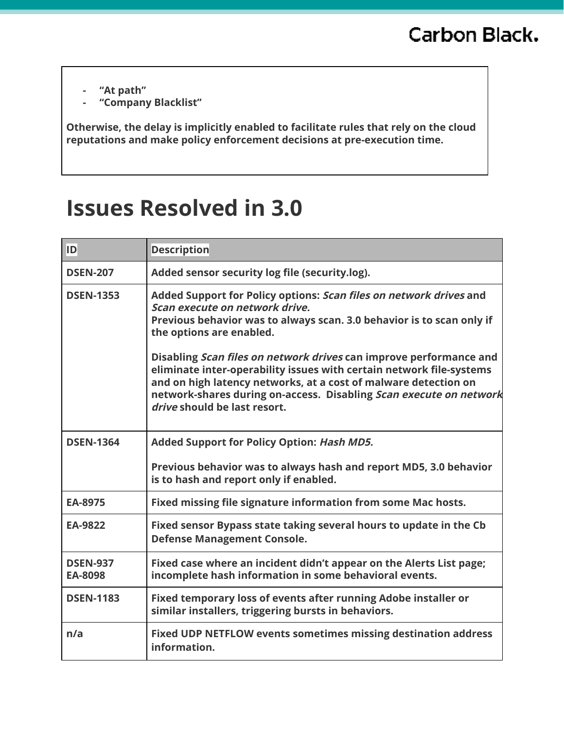- **- "At path"**
- **- "Company Blacklist"**

**Otherwise, the delay is implicitly enabled to facilitate rules that rely on the cloud reputations and make policy enforcement decisions at pre-execution time.**

# **Issues Resolved in 3.0**

| ID                         | <b>Description</b>                                                                                                                                                                                                                                                                                                  |
|----------------------------|---------------------------------------------------------------------------------------------------------------------------------------------------------------------------------------------------------------------------------------------------------------------------------------------------------------------|
| <b>DSEN-207</b>            | Added sensor security log file (security.log).                                                                                                                                                                                                                                                                      |
| <b>DSEN-1353</b>           | Added Support for Policy options: Scan files on network drives and<br>Scan execute on network drive.<br>Previous behavior was to always scan. 3.0 behavior is to scan only if<br>the options are enabled.                                                                                                           |
|                            | Disabling Scan files on network drives can improve performance and<br>eliminate inter-operability issues with certain network file-systems<br>and on high latency networks, at a cost of malware detection on<br>network-shares during on-access. Disabling Scan execute on network<br>drive should be last resort. |
| <b>DSEN-1364</b>           | Added Support for Policy Option: Hash MD5.                                                                                                                                                                                                                                                                          |
|                            | Previous behavior was to always hash and report MD5, 3.0 behavior<br>is to hash and report only if enabled.                                                                                                                                                                                                         |
| EA-8975                    | Fixed missing file signature information from some Mac hosts.                                                                                                                                                                                                                                                       |
| <b>EA-9822</b>             | Fixed sensor Bypass state taking several hours to update in the Cb<br><b>Defense Management Console.</b>                                                                                                                                                                                                            |
| <b>DSEN-937</b><br>EA-8098 | Fixed case where an incident didn't appear on the Alerts List page;<br>incomplete hash information in some behavioral events.                                                                                                                                                                                       |
| <b>DSEN-1183</b>           | Fixed temporary loss of events after running Adobe installer or<br>similar installers, triggering bursts in behaviors.                                                                                                                                                                                              |
| n/a                        | <b>Fixed UDP NETFLOW events sometimes missing destination address</b><br>information.                                                                                                                                                                                                                               |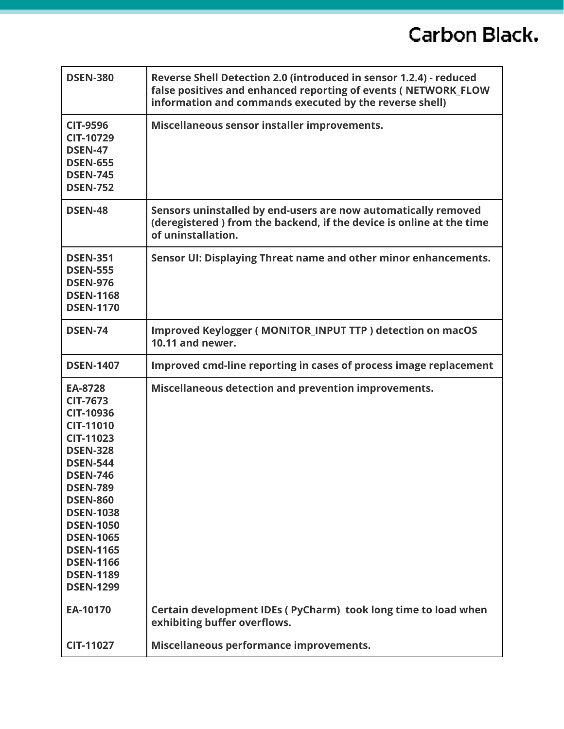| <b>DSEN-380</b>                                                                                                                                                                                                                                                                                                                   | Reverse Shell Detection 2.0 (introduced in sensor 1.2.4) - reduced<br>false positives and enhanced reporting of events (NETWORK_FLOW<br>information and commands executed by the reverse shell) |
|-----------------------------------------------------------------------------------------------------------------------------------------------------------------------------------------------------------------------------------------------------------------------------------------------------------------------------------|-------------------------------------------------------------------------------------------------------------------------------------------------------------------------------------------------|
| <b>CIT-9596</b><br><b>CIT-10729</b><br><b>DSEN-47</b><br><b>DSEN-655</b><br><b>DSEN-745</b><br><b>DSEN-752</b>                                                                                                                                                                                                                    | Miscellaneous sensor installer improvements.                                                                                                                                                    |
| <b>DSEN-48</b>                                                                                                                                                                                                                                                                                                                    | Sensors uninstalled by end-users are now automatically removed<br>(deregistered) from the backend, if the device is online at the time<br>of uninstallation.                                    |
| <b>DSEN-351</b><br><b>DSEN-555</b><br><b>DSEN-976</b><br><b>DSEN-1168</b><br><b>DSEN-1170</b>                                                                                                                                                                                                                                     | Sensor UI: Displaying Threat name and other minor enhancements.                                                                                                                                 |
| <b>DSEN-74</b>                                                                                                                                                                                                                                                                                                                    | Improved Keylogger (MONITOR_INPUT TTP) detection on macOS<br>10.11 and newer.                                                                                                                   |
| <b>DSEN-1407</b>                                                                                                                                                                                                                                                                                                                  | Improved cmd-line reporting in cases of process image replacement                                                                                                                               |
| EA-8728<br><b>CIT-7673</b><br><b>CIT-10936</b><br><b>CIT-11010</b><br><b>CIT-11023</b><br><b>DSEN-328</b><br><b>DSEN-544</b><br><b>DSEN-746</b><br><b>DSEN-789</b><br><b>DSEN-860</b><br><b>DSEN-1038</b><br><b>DSEN-1050</b><br><b>DSEN-1065</b><br><b>DSEN-1165</b><br><b>DSEN-1166</b><br><b>DSEN-1189</b><br><b>DSEN-1299</b> | Miscellaneous detection and prevention improvements.                                                                                                                                            |
| EA-10170                                                                                                                                                                                                                                                                                                                          | Certain development IDEs (PyCharm) took long time to load when<br>exhibiting buffer overflows.                                                                                                  |
| <b>CIT-11027</b>                                                                                                                                                                                                                                                                                                                  | Miscellaneous performance improvements.                                                                                                                                                         |